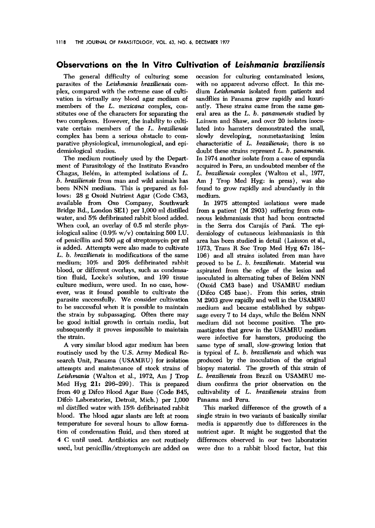## Observations on the In Vitro Cultivation of Le;shmania braziliens;s

parasites of the Leishmania braziliensis com- with no apparent adverse effect. In this meplex, compared with the extreme ease of culti- dium Leishmania isolated from patients and vation in virtually any blood agar mcdium of sandflies in Panama grew rapidly and luxurimembers of the L. mexicana complex, con- antly. These strains came from the same genstitutes one of the characters for separating the eral area as the  $L$ .  $b$ . panamens is studied by two complexes. However, lhe inability to culti- Lainson and Shaw, and ovcr 20 isolates inocuvate certain members of the L. braziliensis. Iated into hamsters demonstrated the small, complex has been a serious obstacle to com- slowly developing, nonmetastasising lesion parative physiological, immunological, and epi- characteristic of  $L$ . *braziliensis*; there is no demiological studies.  $\qquad \qquad \qquad \qquad \text{doubt these strains represent } L, b. \text{ parameters.}$ 

The medium routinely used by the Depart- In 1974 another isolate from a case of espundia mont of Parasitology of the Instituto Evandro acquired in Peru, an undoubted member of the Chagas, Belém, in attempted isolations of L. L. braziliensis complex (Walton et al., 1977, b. braziliensis from man and wild animals has Am J Trop Med Hyg: in press), was also NNN medium. This is prepared as fol- found to grow rapidly and abundantly in this lows: 28 g Oxoid Nutrient Agar (Codc CM3, medium. available from Oxo Company, Southwark In 1975 attempted isolations were made Bridge Rd., London SE1) per 1,000 ml distilled from a patient (M 2903) suffering from cutawater, and 5% defibrinated rabbit blood added. neous leishmaniasis that had bccn contracted When cool, an overlay of 0.5 ml sterile phys- in the Serra dos Carajás of Pará. The epiiological saline  $(0.9\% \text{ w/v})$  containing 500 I.U. demiology of cutaneous leishmaniasis in this of penicillin and 500  $\mu$ g of streptomycin per ml area has been studied in detail (Lainson et al., is added. Attempts were also made to cultivate 1973, Trans R Soc Trop Med Hyg 67: 184- L. b. braziliensis in modifications of the same 196) and all strains isolated from man have medium;  $10\%$  and  $20\%$  defibrinated rabbit proved to be L. b. braziliensis. Material was blood, or different overlays, such as condensa- aspirated from the edge of the lesion and tion fluid, Locke's solution, and 199 tissue inoculated in alternating tubes of Belém NNN culture medium, were used. ln no case, how- (Oxoid CM3 base) and USAMRU medium ever, was it found possible to cultivate the (Difco C45 base). From this series, strain parasitc snccessfully. We consider cultivation M 2903 grew rapidly and well in the USAMRU to be successful when it is possible to maintain medium and became established by subpasthe strain by subpassaging. Often there may sage every 7 to 14 days, whilc thc Bclém NNN be good initial growth in certain media, but medium did not become positive. The prosubsequently it proves impossible to maintain mastigotes that grew in the USAMRU medium the strain. were infective for hamsters, producing the

routincly used by the U.S. Army Medical Re- is typical of  $L$ . b. braziliensis and which was search Unit, Panama (USAMRU) for isolation produced by the inoculation of the original attempts and maintenance of stock strains of biopsy material. The growth of this strain of Leishmania (Walton et al., 1972, Am J Trop L. braziliensis from Brazil on USAMRU me-Med Hyg  $21: 296-299$ . This is prepared dium confirms the prior observation on the from 40 g Difco Blood Agar Base (Code B45, cultivability of L. braziliensis strains from Difco Laboratories, Detroit, Mich.) per 1,000 Panama and Peru. ml distilled water with 15% defibrinated rabhit This marked difference of the growth of a hlood. The blood agar slants are left at room single strain in two variants of basically similar temperaturc for several hours to allow forma- media is apparently due to difforcnccs in the tion of condensation fluid, and then stored at nutrient agar. It might be suggested that the 4 C until used. Antibiotics are not routinely differences observed in our two laboratories used, but penicillin/streptomycin are added on were due to a rabbit blood factor, but this

The general difficulty of culturing some occasion for culturing contaminated lesions,

A very similar blood agar medium has been same type of small, slow-growing lesion that